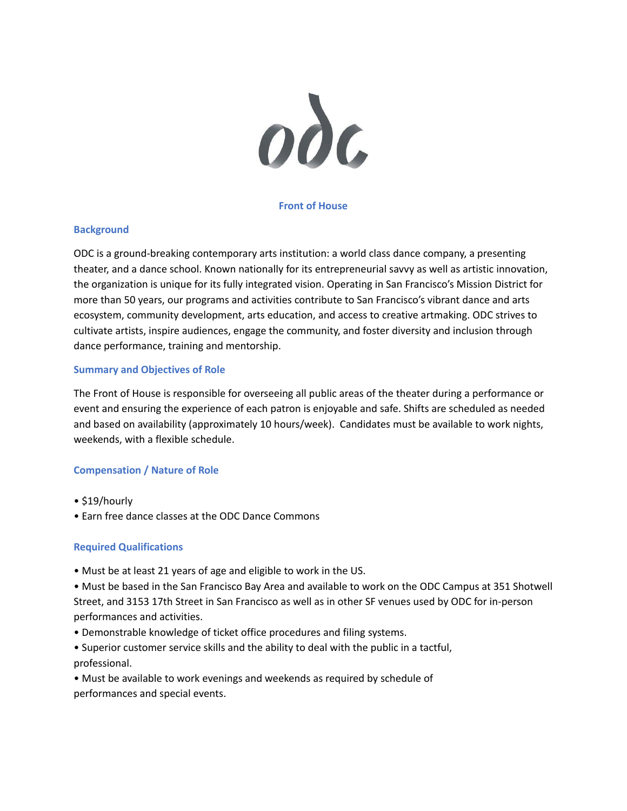

## **Front of House**

#### **Background**

ODC is a ground-breaking contemporary arts institution: a world class dance company, a presenting theater, and a dance school. Known nationally for its entrepreneurial savvy as well as artistic innovation, the organization is unique for its fully integrated vision. Operating in San Francisco's Mission District for more than 50 years, our programs and activities contribute to San Francisco's vibrant dance and arts ecosystem, community development, arts education, and access to creative artmaking. ODC strives to cultivate artists, inspire audiences, engage the community, and foster diversity and inclusion through dance performance, training and mentorship.

## **Summary and Objectives of Role**

The Front of House is responsible for overseeing all public areas of the theater during a performance or event and ensuring the experience of each patron is enjoyable and safe. Shifts are scheduled as needed and based on availability (approximately 10 hours/week). Candidates must be available to work nights, weekends, with a flexible schedule.

# **Compensation / Nature of Role**

- \$19/hourly
- Earn free dance classes at the ODC Dance Commons

#### **Required Qualifications**

- Must be at least 21 years of age and eligible to work in the US.
- Must be based in the San Francisco Bay Area and available to work on the ODC Campus at 351 Shotwell Street, and 3153 17th Street in San Francisco as well as in other SF venues used by ODC for in-person performances and activities.
- Demonstrable knowledge of ticket office procedures and filing systems.
- Superior customer service skills and the ability to deal with the public in a tactful, professional.
- Must be available to work evenings and weekends as required by schedule of performances and special events.